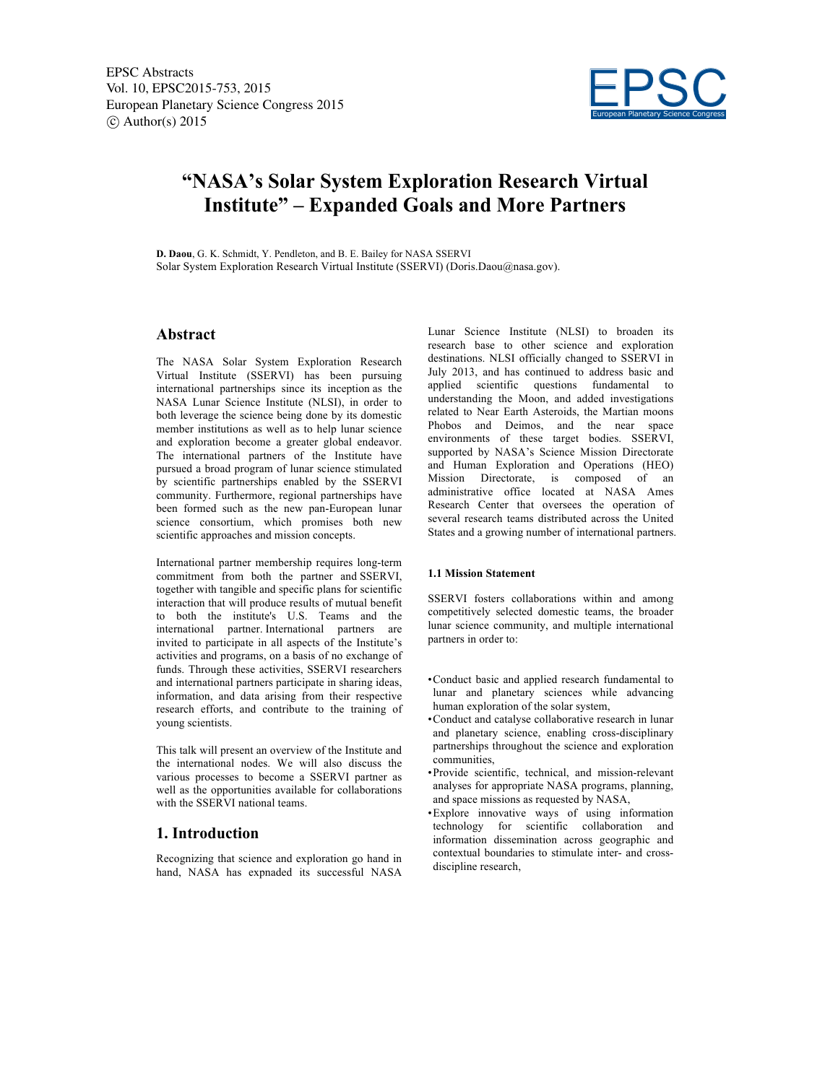

# **"NASA's Solar System Exploration Research Virtual Institute" – Expanded Goals and More Partners**

**D. Daou**, G. K. Schmidt, Y. Pendleton, and B. E. Bailey for NASA SSERVI Solar System Exploration Research Virtual Institute (SSERVI) (Doris.Daou@nasa.gov).

### **Abstract**

The NASA Solar System Exploration Research Virtual Institute (SSERVI) has been pursuing international partnerships since its inception as the NASA Lunar Science Institute (NLSI), in order to both leverage the science being done by its domestic member institutions as well as to help lunar science and exploration become a greater global endeavor. The international partners of the Institute have pursued a broad program of lunar science stimulated by scientific partnerships enabled by the SSERVI community. Furthermore, regional partnerships have been formed such as the new pan-European lunar science consortium, which promises both new scientific approaches and mission concepts.

International partner membership requires long-term commitment from both the partner and SSERVI, together with tangible and specific plans for scientific interaction that will produce results of mutual benefit to both the institute's U.S. Teams and the international partner. International partners are invited to participate in all aspects of the Institute's activities and programs, on a basis of no exchange of funds. Through these activities, SSERVI researchers and international partners participate in sharing ideas, information, and data arising from their respective research efforts, and contribute to the training of young scientists.

This talk will present an overview of the Institute and the international nodes. We will also discuss the various processes to become a SSERVI partner as well as the opportunities available for collaborations with the SSERVI national teams.

## **1. Introduction**

Recognizing that science and exploration go hand in hand, NASA has expnaded its successful NASA Lunar Science Institute (NLSI) to broaden its research base to other science and exploration destinations. NLSI officially changed to SSERVI in July 2013, and has continued to address basic and applied scientific questions fundamental to understanding the Moon, and added investigations related to Near Earth Asteroids, the Martian moons Phobos and Deimos, and the near space environments of these target bodies. SSERVI, supported by NASA's Science Mission Directorate and Human Exploration and Operations (HEO) Mission Directorate, is composed of an administrative office located at NASA Ames Research Center that oversees the operation of several research teams distributed across the United States and a growing number of international partners.

#### **1.1 Mission Statement**

SSERVI fosters collaborations within and among competitively selected domestic teams, the broader lunar science community, and multiple international partners in order to:

- •Conduct basic and applied research fundamental to lunar and planetary sciences while advancing human exploration of the solar system,
- •Conduct and catalyse collaborative research in lunar and planetary science, enabling cross-disciplinary partnerships throughout the science and exploration communities,
- •Provide scientific, technical, and mission-relevant analyses for appropriate NASA programs, planning, and space missions as requested by NASA,
- •Explore innovative ways of using information technology for scientific collaboration and information dissemination across geographic and contextual boundaries to stimulate inter- and crossdiscipline research,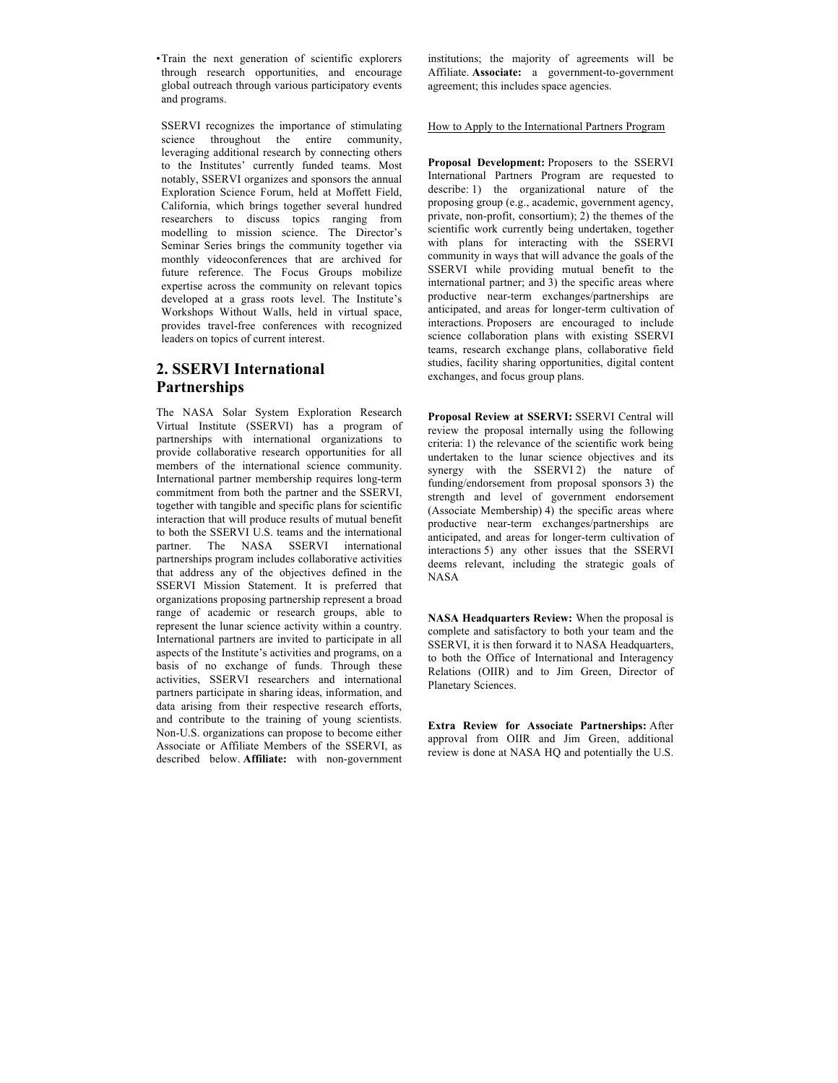•Train the next generation of scientific explorers through research opportunities, and encourage global outreach through various participatory events and programs.

SSERVI recognizes the importance of stimulating science throughout the entire community, leveraging additional research by connecting others to the Institutes' currently funded teams. Most notably, SSERVI organizes and sponsors the annual Exploration Science Forum, held at Moffett Field, California, which brings together several hundred researchers to discuss topics ranging from modelling to mission science. The Director's Seminar Series brings the community together via monthly videoconferences that are archived for future reference. The Focus Groups mobilize expertise across the community on relevant topics developed at a grass roots level. The Institute's Workshops Without Walls, held in virtual space, provides travel-free conferences with recognized leaders on topics of current interest.

# **2. SSERVI International Partnerships**

The NASA Solar System Exploration Research Virtual Institute (SSERVI) has a program of partnerships with international organizations to provide collaborative research opportunities for all members of the international science community. International partner membership requires long-term commitment from both the partner and the SSERVI, together with tangible and specific plans for scientific interaction that will produce results of mutual benefit to both the SSERVI U.S. teams and the international partner. The NASA SSERVI international partnerships program includes collaborative activities that address any of the objectives defined in the SSERVI Mission Statement. It is preferred that organizations proposing partnership represent a broad range of academic or research groups, able to represent the lunar science activity within a country. International partners are invited to participate in all aspects of the Institute's activities and programs, on a basis of no exchange of funds. Through these activities, SSERVI researchers and international partners participate in sharing ideas, information, and data arising from their respective research efforts, and contribute to the training of young scientists. Non-U.S. organizations can propose to become either Associate or Affiliate Members of the SSERVI, as described below. **Affiliate:** with non-government institutions; the majority of agreements will be Affiliate. **Associate:** a government-to-government agreement; this includes space agencies.

### How to Apply to the International Partners Program

**Proposal Development:** Proposers to the SSERVI International Partners Program are requested to describe: 1) the organizational nature of the proposing group (e.g., academic, government agency, private, non-profit, consortium); 2) the themes of the scientific work currently being undertaken, together with plans for interacting with the SSERVI community in ways that will advance the goals of the SSERVI while providing mutual benefit to the international partner; and 3) the specific areas where productive near-term exchanges/partnerships are anticipated, and areas for longer-term cultivation of interactions. Proposers are encouraged to include science collaboration plans with existing SSERVI teams, research exchange plans, collaborative field studies, facility sharing opportunities, digital content exchanges, and focus group plans.

**Proposal Review at SSERVI:** SSERVI Central will review the proposal internally using the following criteria: 1) the relevance of the scientific work being undertaken to the lunar science objectives and its synergy with the SSERVI 2) the nature of funding/endorsement from proposal sponsors 3) the strength and level of government endorsement (Associate Membership)  $4$ ) the specific areas where productive near-term exchanges/partnerships are anticipated, and areas for longer-term cultivation of interactions 5) any other issues that the SSERVI deems relevant, including the strategic goals of NASA

**NASA Headquarters Review:** When the proposal is complete and satisfactory to both your team and the SSERVI, it is then forward it to NASA Headquarters, to both the Office of International and Interagency Relations (OIIR) and to Jim Green, Director of Planetary Sciences.

**Extra Review for Associate Partnerships:** After approval from OIIR and Jim Green, additional review is done at NASA HQ and potentially the U.S.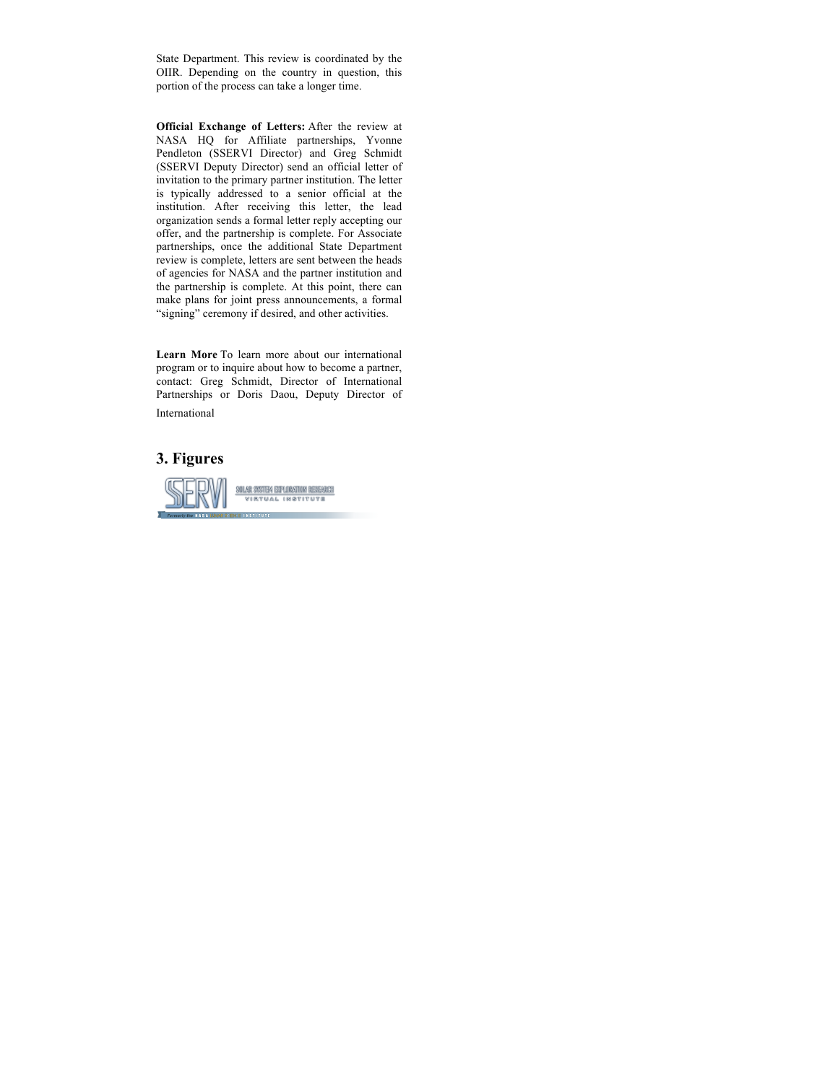State Department. This review is coordinated by the OIIR. Depending on the country in question, this portion of the process can take a longer time.

**Official Exchange of Letters:** After the review at NASA HQ for Affiliate partnerships, Yvonne Pendleton (SSERVI Director) and Greg Schmidt (SSERVI Deputy Director) send an official letter of invitation to the primary partner institution. The letter is typically addressed to a senior official at the institution. After receiving this letter, the lead organization sends a formal letter reply accepting our offer, and the partnership is complete. For Associate partnerships, once the additional State Department review is complete, letters are sent between the heads of agencies for NASA and the partner institution and the partnership is complete. At this point, there can make plans for joint press announcements, a formal "signing" ceremony if desired, and other activities.

**Learn More** To learn more about our international program or to inquire about how to become a partner, contact: Greg Schmidt, Director of International Partnerships or Doris Daou, Deputy Director of International

# **3. Figures**